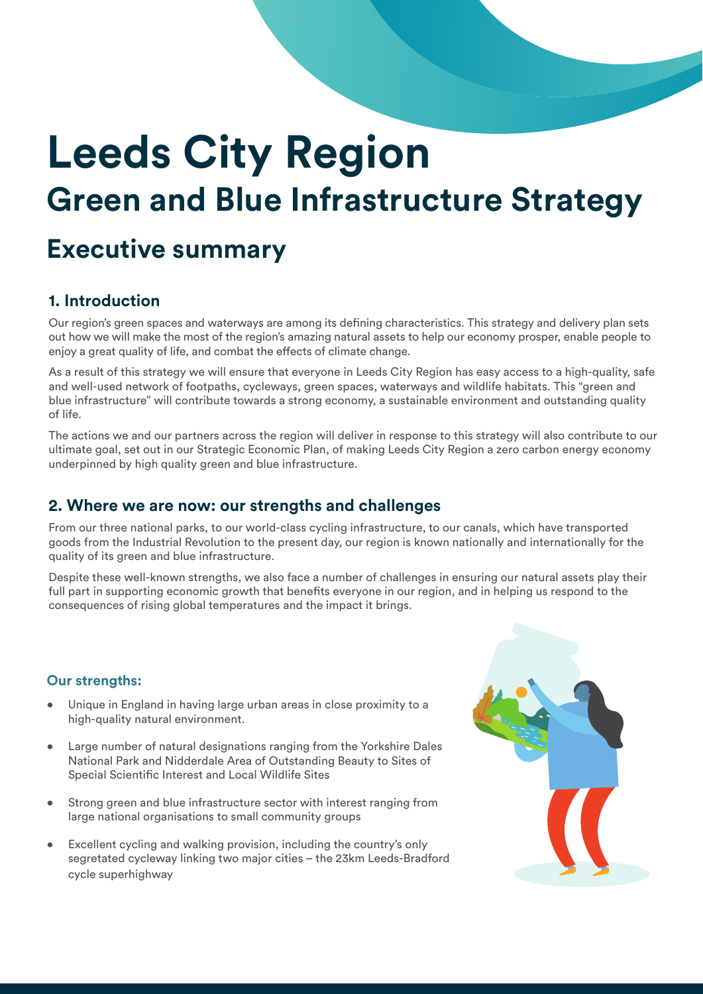# **Leeds City Region Green and Blue Infrastructure Strategy**

## **Executive summary**

## **1. Introduction**

Our region's green spaces and waterways are among its defining characteristics. This strategy and delivery plan sets out how we will make the most of the region's amazing natural assets to help our economy prosper, enable people to enjoy a great quality of life, and combat the effects of climate change.

As a result of this strategy we will ensure that everyone in Leeds City Region has easy access to a high-quality, safe and well-used network of footpaths, cycleways, green spaces, waterways and wildlife habitats. This "green and blue infrastructure" will contribute towards a strong economy, a sustainable environment and outstanding quality of life.

The actions we and our partners across the region will deliver in response to this strategy will also contribute to our ultimate goal, set out in our Strategic Economic Plan, of making Leeds City Region a zero carbon energy economy underpinned by high quality green and blue infrastructure.

## **2. Where we are now: our strengths and challenges**

From our three national parks, to our world-class cycling infrastructure, to our canals, which have transported goods from the Industrial Revolution to the present day, our region is known nationally and internationally for the quality of its green and blue infrastructure.

Despite these well-known strengths, we also face a number of challenges in ensuring our natural assets play their full part in supporting economic growth that benefits everyone in our region, and in helping us respond to the consequences of rising global temperatures and the impact it brings.

## **Our strengths:**

- Unique in England in having large urban areas in close proximity to a high-quality natural environment.
- Large number of natural designations ranging from the Yorkshire Dales National Park and Nidderdale Area of Outstanding Beauty to Sites of Special Scientific Interest and Local Wildlife Sites
- Strong green and blue infrastructure sector with interest ranging from large national organisations to small community groups
- Excellent cycling and walking provision, including the country's only segretated cycleway linking two major cities – the 23km Leeds-Bradford cycle superhighway

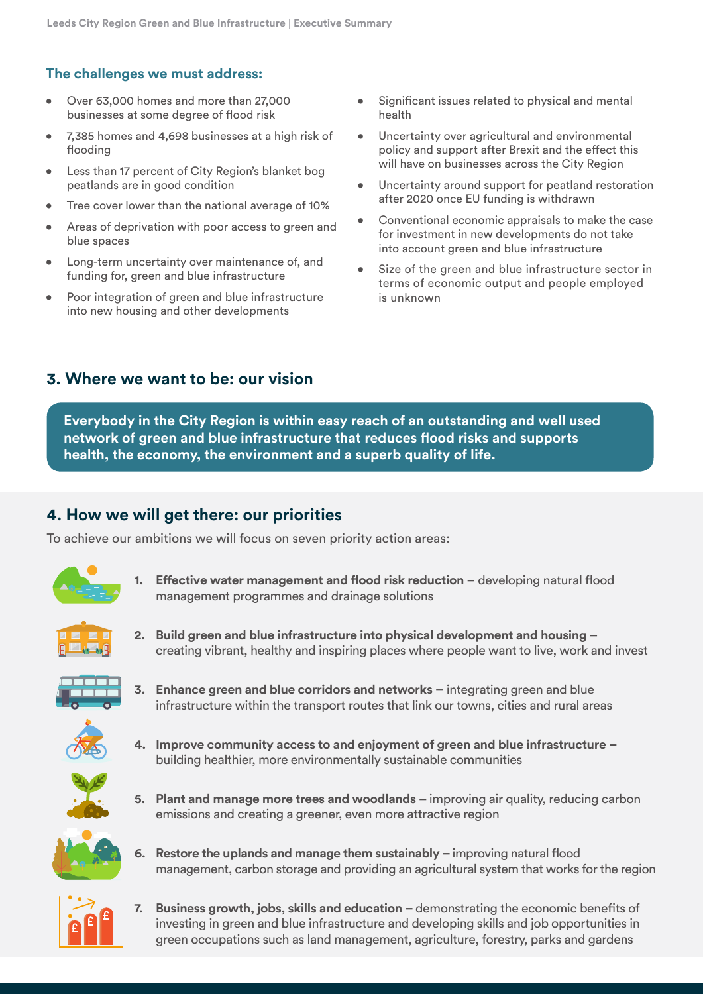#### **The challenges we must address:**

- Over 63,000 homes and more than 27,000 businesses at some degree of flood risk
- 7,385 homes and 4,698 businesses at a high risk of flooding
- Less than 17 percent of City Region's blanket bog peatlands are in good condition
- Tree cover lower than the national average of 10%
- Areas of deprivation with poor access to green and blue spaces
- Long-term uncertainty over maintenance of, and funding for, green and blue infrastructure
- Poor integration of green and blue infrastructure into new housing and other developments
- Significant issues related to physical and mental health
- Uncertainty over agricultural and environmental policy and support after Brexit and the effect this will have on businesses across the City Region
- Uncertainty around support for peatland restoration after 2020 once EU funding is withdrawn
- Conventional economic appraisals to make the case for investment in new developments do not take into account green and blue infrastructure
- Size of the green and blue infrastructure sector in terms of economic output and people employed is unknown

## **3. Where we want to be: our vision**

**Everybody in the City Region is within easy reach of an outstanding and well used network of green and blue infrastructure that reduces flood risks and supports health, the economy, the environment and a superb quality of life.**

## **4. How we will get there: our priorities**

To achieve our ambitions we will focus on seven priority action areas:



**1. Effective water management and flood risk reduction –** developing natural flood management programmes and drainage solutions



**2. Build green and blue infrastructure into physical development and housing –**  creating vibrant, healthy and inspiring places where people want to live, work and invest



- **3. Enhance green and blue corridors and networks –** integrating green and blue infrastructure within the transport routes that link our towns, cities and rural areas
- **4. Improve community access to and enjoyment of green and blue infrastructure**  building healthier, more environmentally sustainable communities



- **5. Plant and manage more trees and woodlands** improving air quality, reducing carbon emissions and creating a greener, even more attractive region
- **6. Restore the uplands and manage them sustainably** improving natural flood management, carbon storage and providing an agricultural system that works for the region



**7. Business growth, jobs, skills and education –** demonstrating the economic benefits of investing in green and blue infrastructure and developing skills and job opportunities in green occupations such as land management, agriculture, forestry, parks and gardens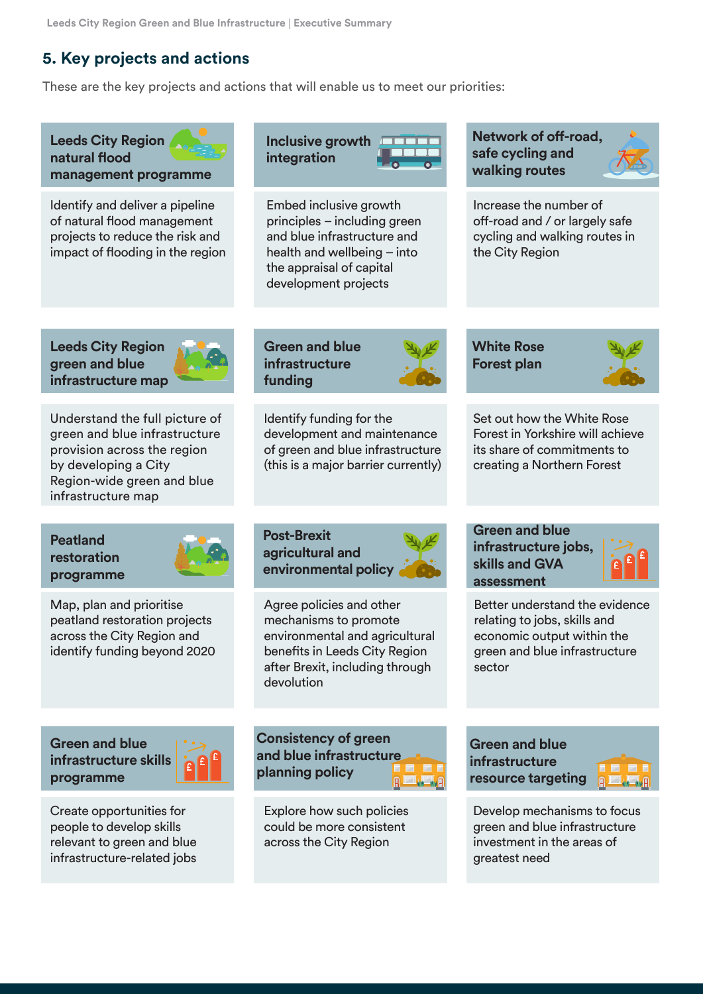## **5. Key projects and actions**

These are the key projects and actions that will enable us to meet our priorities: